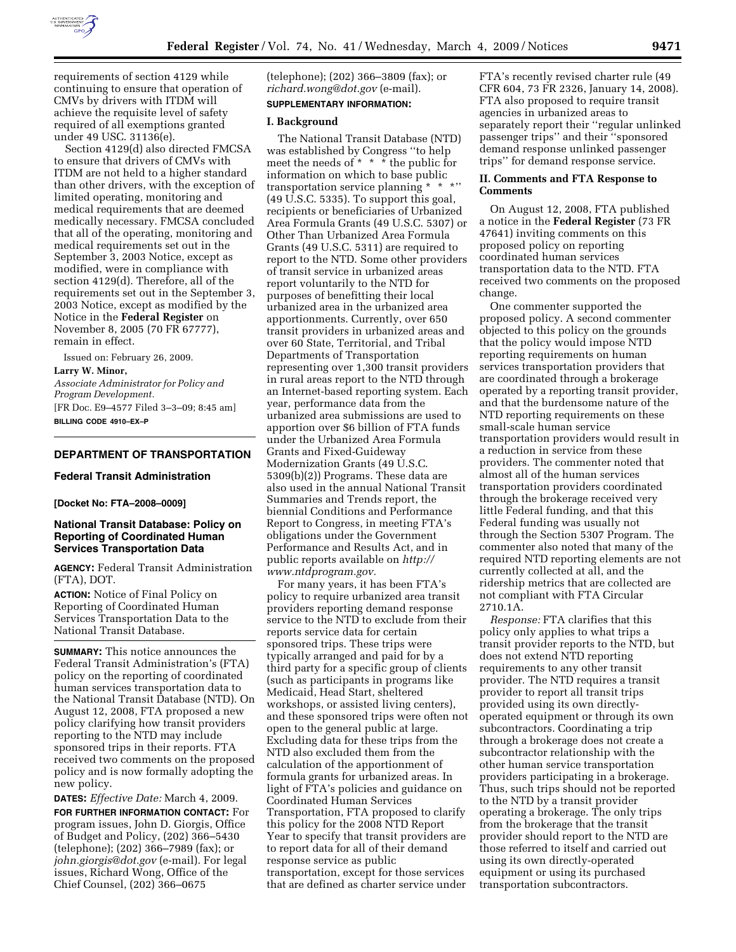

requirements of section 4129 while continuing to ensure that operation of CMVs by drivers with ITDM will achieve the requisite level of safety required of all exemptions granted under 49 USC. 31136(e).

Section 4129(d) also directed FMCSA to ensure that drivers of CMVs with ITDM are not held to a higher standard than other drivers, with the exception of limited operating, monitoring and medical requirements that are deemed medically necessary. FMCSA concluded that all of the operating, monitoring and medical requirements set out in the September 3, 2003 Notice, except as modified, were in compliance with section 4129(d). Therefore, all of the requirements set out in the September 3, 2003 Notice, except as modified by the Notice in the **Federal Register** on November 8, 2005 (70 FR 67777), remain in effect.

Issued on: February 26, 2009.

#### **Larry W. Minor,**

*Associate Administrator for Policy and Program Development.*  [FR Doc. E9–4577 Filed 3–3–09; 8:45 am] **BILLING CODE 4910–EX–P** 

## **DEPARTMENT OF TRANSPORTATION**

## **Federal Transit Administration**

#### **[Docket No: FTA–2008–0009]**

# **National Transit Database: Policy on Reporting of Coordinated Human Services Transportation Data**

**AGENCY:** Federal Transit Administration (FTA), DOT.

**ACTION:** Notice of Final Policy on Reporting of Coordinated Human Services Transportation Data to the National Transit Database.

**SUMMARY:** This notice announces the Federal Transit Administration's (FTA) policy on the reporting of coordinated human services transportation data to the National Transit Database (NTD). On August 12, 2008, FTA proposed a new policy clarifying how transit providers reporting to the NTD may include sponsored trips in their reports. FTA received two comments on the proposed policy and is now formally adopting the new policy.

**DATES:** *Effective Date:* March 4, 2009.

**FOR FURTHER INFORMATION CONTACT:** For program issues, John D. Giorgis, Office of Budget and Policy, (202) 366–5430 (telephone); (202) 366–7989 (fax); or *john.giorgis@dot.gov* (e-mail). For legal issues, Richard Wong, Office of the Chief Counsel, (202) 366–0675

(telephone); (202) 366–3809 (fax); or *richard.wong@dot.gov* (e-mail). **SUPPLEMENTARY INFORMATION:** 

#### **I. Background**

The National Transit Database (NTD) was established by Congress ''to help meet the needs of \* \* \* the public for information on which to base public transportation service planning \* \* \*'' (49 U.S.C. 5335). To support this goal, recipients or beneficiaries of Urbanized Area Formula Grants (49 U.S.C. 5307) or Other Than Urbanized Area Formula Grants (49 U.S.C. 5311) are required to report to the NTD. Some other providers of transit service in urbanized areas report voluntarily to the NTD for purposes of benefitting their local urbanized area in the urbanized area apportionments. Currently, over 650 transit providers in urbanized areas and over 60 State, Territorial, and Tribal Departments of Transportation representing over 1,300 transit providers in rural areas report to the NTD through an Internet-based reporting system. Each year, performance data from the urbanized area submissions are used to apportion over \$6 billion of FTA funds under the Urbanized Area Formula Grants and Fixed-Guideway Modernization Grants (49 U.S.C. 5309(b)(2)) Programs. These data are also used in the annual National Transit Summaries and Trends report, the biennial Conditions and Performance Report to Congress, in meeting FTA's obligations under the Government Performance and Results Act, and in public reports available on *http:// www.ntdprogram.gov.* 

For many years, it has been FTA's policy to require urbanized area transit providers reporting demand response service to the NTD to exclude from their reports service data for certain sponsored trips. These trips were typically arranged and paid for by a third party for a specific group of clients (such as participants in programs like Medicaid, Head Start, sheltered workshops, or assisted living centers), and these sponsored trips were often not open to the general public at large. Excluding data for these trips from the NTD also excluded them from the calculation of the apportionment of formula grants for urbanized areas. In light of FTA's policies and guidance on Coordinated Human Services Transportation, FTA proposed to clarify this policy for the 2008 NTD Report Year to specify that transit providers are to report data for all of their demand response service as public transportation, except for those services that are defined as charter service under

FTA's recently revised charter rule (49 CFR 604, 73 FR 2326, January 14, 2008). FTA also proposed to require transit agencies in urbanized areas to separately report their ''regular unlinked passenger trips'' and their ''sponsored demand response unlinked passenger trips'' for demand response service.

#### **II. Comments and FTA Response to Comments**

On August 12, 2008, FTA published a notice in the **Federal Register** (73 FR 47641) inviting comments on this proposed policy on reporting coordinated human services transportation data to the NTD. FTA received two comments on the proposed change.

One commenter supported the proposed policy. A second commenter objected to this policy on the grounds that the policy would impose NTD reporting requirements on human services transportation providers that are coordinated through a brokerage operated by a reporting transit provider, and that the burdensome nature of the NTD reporting requirements on these small-scale human service transportation providers would result in a reduction in service from these providers. The commenter noted that almost all of the human services transportation providers coordinated through the brokerage received very little Federal funding, and that this Federal funding was usually not through the Section 5307 Program. The commenter also noted that many of the required NTD reporting elements are not currently collected at all, and the ridership metrics that are collected are not compliant with FTA Circular 2710.1A.

*Response:* FTA clarifies that this policy only applies to what trips a transit provider reports to the NTD, but does not extend NTD reporting requirements to any other transit provider. The NTD requires a transit provider to report all transit trips provided using its own directlyoperated equipment or through its own subcontractors. Coordinating a trip through a brokerage does not create a subcontractor relationship with the other human service transportation providers participating in a brokerage. Thus, such trips should not be reported to the NTD by a transit provider operating a brokerage. The only trips from the brokerage that the transit provider should report to the NTD are those referred to itself and carried out using its own directly-operated equipment or using its purchased transportation subcontractors.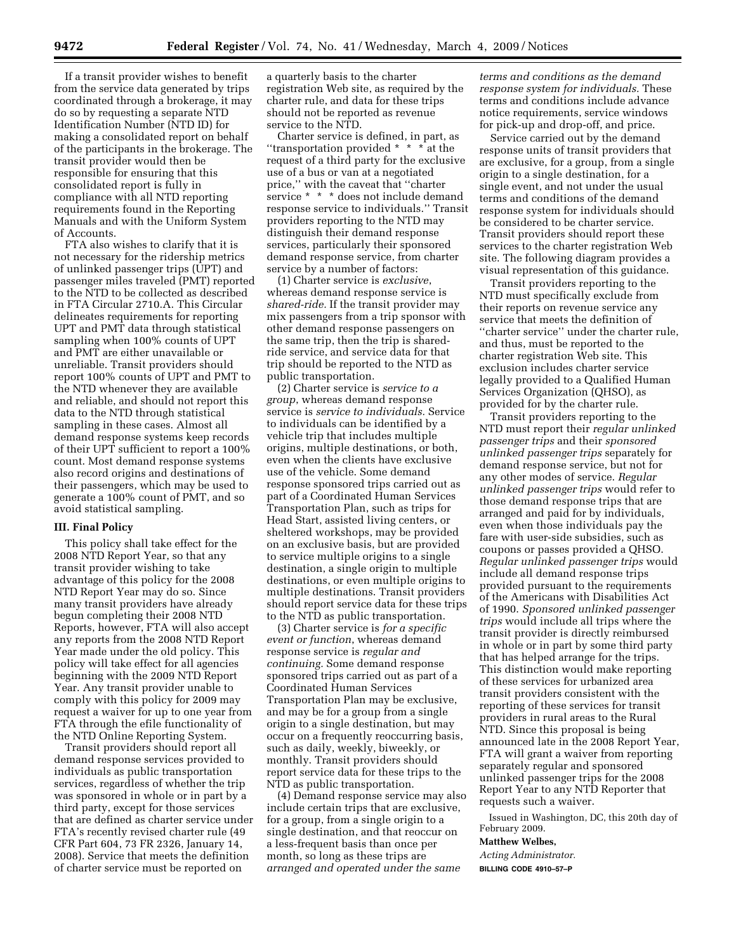If a transit provider wishes to benefit from the service data generated by trips coordinated through a brokerage, it may do so by requesting a separate NTD Identification Number (NTD ID) for making a consolidated report on behalf of the participants in the brokerage. The transit provider would then be responsible for ensuring that this consolidated report is fully in compliance with all NTD reporting requirements found in the Reporting Manuals and with the Uniform System of Accounts.

FTA also wishes to clarify that it is not necessary for the ridership metrics of unlinked passenger trips (UPT) and passenger miles traveled (PMT) reported to the NTD to be collected as described in FTA Circular 2710.A. This Circular delineates requirements for reporting UPT and PMT data through statistical sampling when 100% counts of UPT and PMT are either unavailable or unreliable. Transit providers should report 100% counts of UPT and PMT to the NTD whenever they are available and reliable, and should not report this data to the NTD through statistical sampling in these cases. Almost all demand response systems keep records of their UPT sufficient to report a 100% count. Most demand response systems also record origins and destinations of their passengers, which may be used to generate a 100% count of PMT, and so avoid statistical sampling.

### **III. Final Policy**

This policy shall take effect for the 2008 NTD Report Year, so that any transit provider wishing to take advantage of this policy for the 2008 NTD Report Year may do so. Since many transit providers have already begun completing their 2008 NTD Reports, however, FTA will also accept any reports from the 2008 NTD Report Year made under the old policy. This policy will take effect for all agencies beginning with the 2009 NTD Report Year. Any transit provider unable to comply with this policy for 2009 may request a waiver for up to one year from FTA through the efile functionality of the NTD Online Reporting System.

Transit providers should report all demand response services provided to individuals as public transportation services, regardless of whether the trip was sponsored in whole or in part by a third party, except for those services that are defined as charter service under FTA's recently revised charter rule (49 CFR Part 604, 73 FR 2326, January 14, 2008). Service that meets the definition of charter service must be reported on

a quarterly basis to the charter registration Web site, as required by the charter rule, and data for these trips should not be reported as revenue service to the NTD.

Charter service is defined, in part, as ''transportation provided \* \* \* at the request of a third party for the exclusive use of a bus or van at a negotiated price,'' with the caveat that ''charter service \* \* \* does not include demand response service to individuals.'' Transit providers reporting to the NTD may distinguish their demand response services, particularly their sponsored demand response service, from charter service by a number of factors:

(1) Charter service is *exclusive*, whereas demand response service is *shared-ride.* If the transit provider may mix passengers from a trip sponsor with other demand response passengers on the same trip, then the trip is sharedride service, and service data for that trip should be reported to the NTD as public transportation.

(2) Charter service is *service to a group*, whereas demand response service is *service to individuals.* Service to individuals can be identified by a vehicle trip that includes multiple origins, multiple destinations, or both, even when the clients have exclusive use of the vehicle. Some demand response sponsored trips carried out as part of a Coordinated Human Services Transportation Plan, such as trips for Head Start, assisted living centers, or sheltered workshops, may be provided on an exclusive basis, but are provided to service multiple origins to a single destination, a single origin to multiple destinations, or even multiple origins to multiple destinations. Transit providers should report service data for these trips to the NTD as public transportation.

(3) Charter service is *for a specific event or function*, whereas demand response service is *regular and continuing.* Some demand response sponsored trips carried out as part of a Coordinated Human Services Transportation Plan may be exclusive, and may be for a group from a single origin to a single destination, but may occur on a frequently reoccurring basis, such as daily, weekly, biweekly, or monthly. Transit providers should report service data for these trips to the NTD as public transportation.

(4) Demand response service may also include certain trips that are exclusive, for a group, from a single origin to a single destination, and that reoccur on a less-frequent basis than once per month, so long as these trips are *arranged and operated under the same* 

*terms and conditions as the demand response system for individuals.* These terms and conditions include advance notice requirements, service windows for pick-up and drop-off, and price.

Service carried out by the demand response units of transit providers that are exclusive, for a group, from a single origin to a single destination, for a single event, and not under the usual terms and conditions of the demand response system for individuals should be considered to be charter service. Transit providers should report these services to the charter registration Web site. The following diagram provides a visual representation of this guidance.

Transit providers reporting to the NTD must specifically exclude from their reports on revenue service any service that meets the definition of ''charter service'' under the charter rule, and thus, must be reported to the charter registration Web site. This exclusion includes charter service legally provided to a Qualified Human Services Organization (QHSO), as provided for by the charter rule.

Transit providers reporting to the NTD must report their *regular unlinked passenger trips* and their *sponsored unlinked passenger trips* separately for demand response service, but not for any other modes of service. *Regular unlinked passenger trips* would refer to those demand response trips that are arranged and paid for by individuals, even when those individuals pay the fare with user-side subsidies, such as coupons or passes provided a QHSO. *Regular unlinked passenger trips* would include all demand response trips provided pursuant to the requirements of the Americans with Disabilities Act of 1990. *Sponsored unlinked passenger trips* would include all trips where the transit provider is directly reimbursed in whole or in part by some third party that has helped arrange for the trips. This distinction would make reporting of these services for urbanized area transit providers consistent with the reporting of these services for transit providers in rural areas to the Rural NTD. Since this proposal is being announced late in the 2008 Report Year, FTA will grant a waiver from reporting separately regular and sponsored unlinked passenger trips for the 2008 Report Year to any NTD Reporter that requests such a waiver.

Issued in Washington, DC, this 20th day of February 2009.

# **Matthew Welbes,**

*Acting Administrator.* 

**BILLING CODE 4910–57–P**